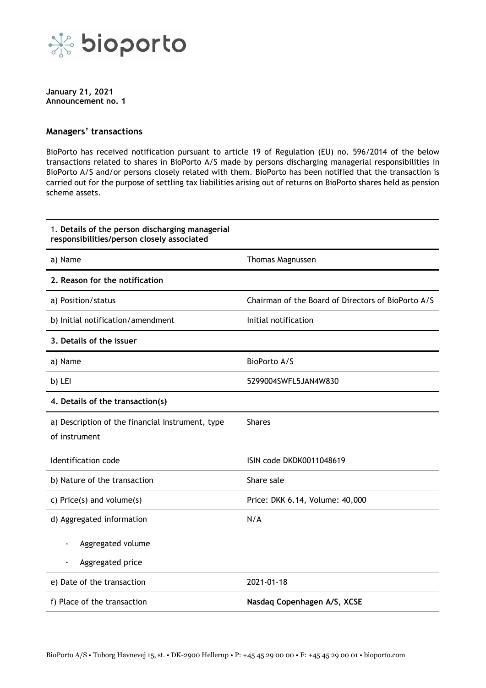

**January 21, 2021 Announcement no. 1**

## **Managers' transactions**

BioPorto has received notification pursuant to article 19 of Regulation (EU) no. 596/2014 of the below transactions related to shares in BioPorto A/S made by persons discharging managerial responsibilities in BioPorto A/S and/or persons closely related with them. BioPorto has been notified that the transaction is carried out for the purpose of settling tax liabilities arising out of returns on BioPorto shares held as pension scheme assets.

| 1. Details of the person discharging managerial<br>responsibilities/person closely associated |                                                    |
|-----------------------------------------------------------------------------------------------|----------------------------------------------------|
| a) Name                                                                                       | Thomas Magnussen                                   |
| 2. Reason for the notification                                                                |                                                    |
| a) Position/status                                                                            | Chairman of the Board of Directors of BioPorto A/S |
| b) Initial notification/amendment                                                             | Initial notification                               |
| 3. Details of the issuer                                                                      |                                                    |
| a) Name                                                                                       | BioPorto A/S                                       |
| b) LEI                                                                                        | 5299004SWFL5JAN4W830                               |
| 4. Details of the transaction(s)                                                              |                                                    |
| a) Description of the financial instrument, type<br>of instrument                             | <b>Shares</b>                                      |
| Identification code                                                                           | ISIN code DKDK0011048619                           |
| b) Nature of the transaction                                                                  | Share sale                                         |
| c) Price(s) and volume(s)                                                                     | Price: DKK 6.14, Volume: 40,000                    |
| d) Aggregated information                                                                     | N/A                                                |
| Aggregated volume                                                                             |                                                    |
| Aggregated price                                                                              |                                                    |
| e) Date of the transaction                                                                    | 2021-01-18                                         |
| f) Place of the transaction                                                                   | Nasdaq Copenhagen A/S, XCSE                        |